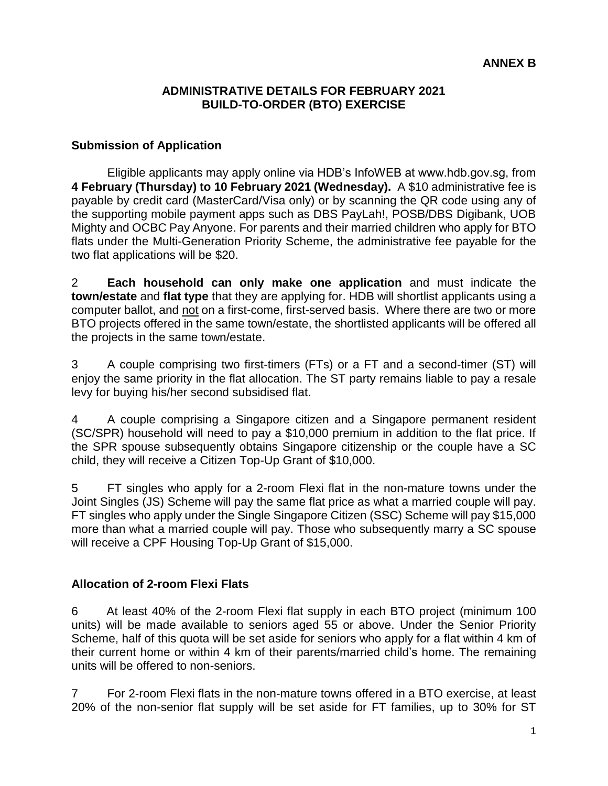#### **ADMINISTRATIVE DETAILS FOR FEBRUARY 2021 BUILD-TO-ORDER (BTO) EXERCISE**

#### **Submission of Application**

Eligible applicants may apply online via HDB's InfoWEB at www.hdb.gov.sg, from **4 February (Thursday) to 10 February 2021 (Wednesday).** A \$10 administrative fee is payable by credit card (MasterCard/Visa only) or by scanning the QR code using any of the supporting mobile payment apps such as DBS PayLah!, POSB/DBS Digibank, UOB Mighty and OCBC Pay Anyone. For parents and their married children who apply for BTO flats under the Multi-Generation Priority Scheme, the administrative fee payable for the two flat applications will be \$20.

2 **Each household can only make one application** and must indicate the **town/estate** and **flat type** that they are applying for. HDB will shortlist applicants using a computer ballot, and not on a first-come, first-served basis. Where there are two or more BTO projects offered in the same town/estate, the shortlisted applicants will be offered all the projects in the same town/estate.

3 A couple comprising two first-timers (FTs) or a FT and a second-timer (ST) will enjoy the same priority in the flat allocation. The ST party remains liable to pay a resale levy for buying his/her second subsidised flat.

4 A couple comprising a Singapore citizen and a Singapore permanent resident (SC/SPR) household will need to pay a \$10,000 premium in addition to the flat price. If the SPR spouse subsequently obtains Singapore citizenship or the couple have a SC child, they will receive a Citizen Top-Up Grant of \$10,000.

5 FT singles who apply for a 2-room Flexi flat in the non-mature towns under the Joint Singles (JS) Scheme will pay the same flat price as what a married couple will pay. FT singles who apply under the Single Singapore Citizen (SSC) Scheme will pay \$15,000 more than what a married couple will pay. Those who subsequently marry a SC spouse will receive a CPF Housing Top-Up Grant of \$15,000.

### **Allocation of 2-room Flexi Flats**

6 At least 40% of the 2-room Flexi flat supply in each BTO project (minimum 100 units) will be made available to seniors aged 55 or above. Under the Senior Priority Scheme, half of this quota will be set aside for seniors who apply for a flat within 4 km of their current home or within 4 km of their parents/married child's home. The remaining units will be offered to non-seniors.

7 For 2-room Flexi flats in the non-mature towns offered in a BTO exercise, at least 20% of the non-senior flat supply will be set aside for FT families, up to 30% for ST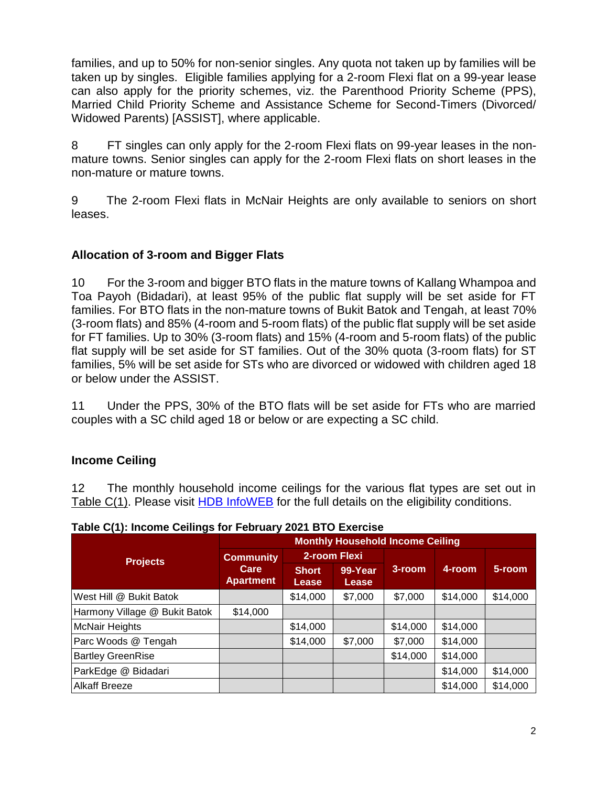families, and up to 50% for non-senior singles. Any quota not taken up by families will be taken up by singles. Eligible families applying for a 2-room Flexi flat on a 99-year lease can also apply for the priority schemes, viz. the Parenthood Priority Scheme (PPS), Married Child Priority Scheme and Assistance Scheme for Second-Timers (Divorced/ Widowed Parents) [ASSIST], where applicable.

8 FT singles can only apply for the 2-room Flexi flats on 99-year leases in the nonmature towns. Senior singles can apply for the 2-room Flexi flats on short leases in the non-mature or mature towns.

9 The 2-room Flexi flats in McNair Heights are only available to seniors on short leases.

### **Allocation of 3-room and Bigger Flats**

10 For the 3-room and bigger BTO flats in the mature towns of Kallang Whampoa and Toa Payoh (Bidadari), at least 95% of the public flat supply will be set aside for FT families. For BTO flats in the non-mature towns of Bukit Batok and Tengah, at least 70% (3-room flats) and 85% (4-room and 5-room flats) of the public flat supply will be set aside for FT families. Up to 30% (3-room flats) and 15% (4-room and 5-room flats) of the public flat supply will be set aside for ST families. Out of the 30% quota (3-room flats) for ST families, 5% will be set aside for STs who are divorced or widowed with children aged 18 or below under the ASSIST.

11 Under the PPS, 30% of the BTO flats will be set aside for FTs who are married couples with a SC child aged 18 or below or are expecting a SC child.

### **Income Ceiling**

12 The monthly household income ceilings for the various flat types are set out in Table C(1). Please visit [HDB InfoWEB](https://www.hdb.gov.sg/residential/buying-a-flat/new/eligibility) for the full details on the eligibility conditions.

| <b>Projects</b>               | <b>Monthly Household Income Ceiling</b>      |                       |                  |          |          |          |
|-------------------------------|----------------------------------------------|-----------------------|------------------|----------|----------|----------|
|                               | <b>Community</b><br>Care<br><b>Apartment</b> | 2-room Flexi          |                  |          |          |          |
|                               |                                              | <b>Short</b><br>Lease | 99-Year<br>Lease | 3-room   | 4-room   | 5-room   |
| West Hill @ Bukit Batok       |                                              | \$14,000              | \$7,000          | \$7,000  | \$14,000 | \$14,000 |
| Harmony Village @ Bukit Batok | \$14,000                                     |                       |                  |          |          |          |
| <b>McNair Heights</b>         |                                              | \$14,000              |                  | \$14,000 | \$14,000 |          |
| Parc Woods @ Tengah           |                                              | \$14,000              | \$7,000          | \$7,000  | \$14,000 |          |
| <b>Bartley GreenRise</b>      |                                              |                       |                  | \$14,000 | \$14,000 |          |
| ParkEdge @ Bidadari           |                                              |                       |                  |          | \$14,000 | \$14,000 |
| <b>Alkaff Breeze</b>          |                                              |                       |                  |          | \$14,000 | \$14,000 |

**Table C(1): Income Ceilings for February 2021 BTO Exercise**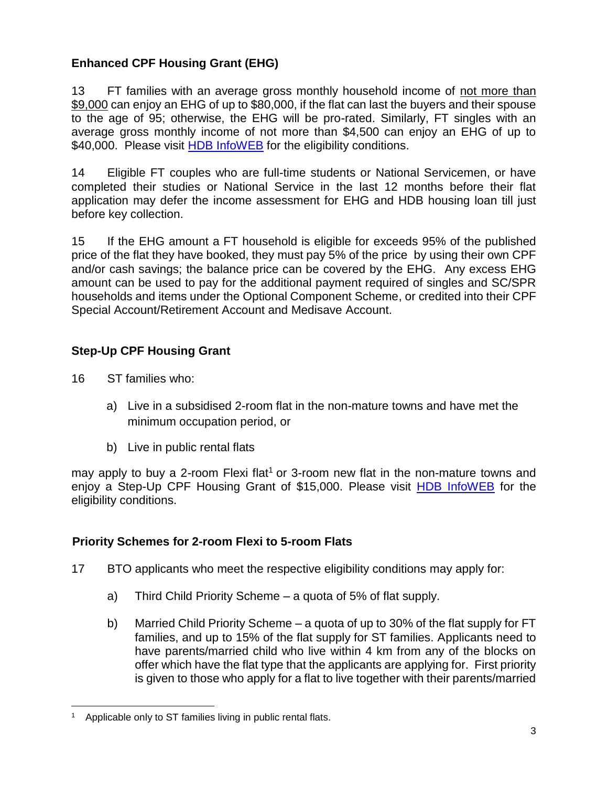# **Enhanced CPF Housing Grant (EHG)**

13 FT families with an average gross monthly household income of not more than \$9,000 can enjoy an EHG of up to \$80,000, if the flat can last the buyers and their spouse to the age of 95; otherwise, the EHG will be pro-rated. Similarly, FT singles with an average gross monthly income of not more than \$4,500 can enjoy an EHG of up to \$40,000. Please visit [HDB InfoWEB](https://www.hdb.gov.sg/cs/infoweb/residential/buying-a-flat/new/schemes-and-grants/cpf-housing-grants-for-hdb-flats/firsttimer-applicants) for the eligibility conditions.

14 Eligible FT couples who are full-time students or National Servicemen, or have completed their studies or National Service in the last 12 months before their flat application may defer the income assessment for EHG and HDB housing loan till just before key collection.

15 If the EHG amount a FT household is eligible for exceeds 95% of the published price of the flat they have booked, they must pay 5% of the price by using their own CPF and/or cash savings; the balance price can be covered by the EHG. Any excess EHG amount can be used to pay for the additional payment required of singles and SC/SPR households and items under the Optional Component Scheme, or credited into their CPF Special Account/Retirement Account and Medisave Account.

# **Step-Up CPF Housing Grant**

16 ST families who:

- a) Live in a subsidised 2-room flat in the non-mature towns and have met the minimum occupation period, or
- b) Live in public rental flats

may apply to buy a 2-room Flexi flat<sup>1</sup> or 3-room new flat in the non-mature towns and enjoy a Step-Up CPF Housing Grant of \$15,000. Please visit [HDB InfoWEB](https://www.hdb.gov.sg/residential/buying-a-flat/new/schemes-and-grants/cpf-housing-grants-for-hdb-flats/secondtimer-applicants) for the eligibility conditions.

# **Priority Schemes for 2-room Flexi to 5-room Flats**

- 17 BTO applicants who meet the respective eligibility conditions may apply for:
	- a) Third Child Priority Scheme a quota of 5% of flat supply.
	- b) Married Child Priority Scheme a quota of up to 30% of the flat supply for FT families, and up to 15% of the flat supply for ST families. Applicants need to have parents/married child who live within 4 km from any of the blocks on offer which have the flat type that the applicants are applying for. First priority is given to those who apply for a flat to live together with their parents/married

 $\overline{a}$ <sup>1</sup> Applicable only to ST families living in public rental flats.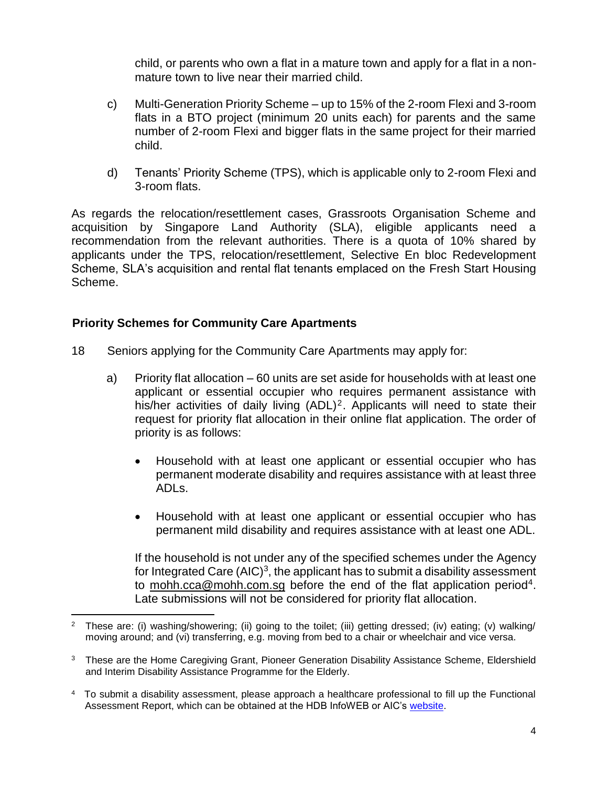child, or parents who own a flat in a mature town and apply for a flat in a nonmature town to live near their married child.

- c) Multi-Generation Priority Scheme up to 15% of the 2-room Flexi and 3-room flats in a BTO project (minimum 20 units each) for parents and the same number of 2-room Flexi and bigger flats in the same project for their married child.
- d) Tenants' Priority Scheme (TPS), which is applicable only to 2-room Flexi and 3-room flats.

As regards the relocation/resettlement cases, Grassroots Organisation Scheme and acquisition by Singapore Land Authority (SLA), eligible applicants need a recommendation from the relevant authorities. There is a quota of 10% shared by applicants under the TPS, relocation/resettlement, Selective En bloc Redevelopment Scheme, SLA's acquisition and rental flat tenants emplaced on the Fresh Start Housing Scheme.

### **Priority Schemes for Community Care Apartments**

 $\overline{a}$ 

- 18 Seniors applying for the Community Care Apartments may apply for:
	- a) Priority flat allocation 60 units are set aside for households with at least one applicant or essential occupier who requires permanent assistance with his/her activities of daily living  $(ADL)^2$ . Applicants will need to state their request for priority flat allocation in their online flat application. The order of priority is as follows:
		- Household with at least one applicant or essential occupier who has permanent moderate disability and requires assistance with at least three ADLs.
		- Household with at least one applicant or essential occupier who has permanent mild disability and requires assistance with at least one ADL.

If the household is not under any of the specified schemes under the Agency for Integrated Care  $(AIC)^3$ , the applicant has to submit a disability assessment to [mohh.cca@mohh.com.sg](mailto:mohh.cca@mohh.com.sg) before the end of the flat application period<sup>4</sup>. Late submissions will not be considered for priority flat allocation.

<sup>2</sup> These are: (i) washing/showering; (ii) going to the toilet; (iii) getting dressed; (iv) eating; (v) walking/ moving around; and (vi) transferring, e.g. moving from bed to a chair or wheelchair and vice versa.

<sup>&</sup>lt;sup>3</sup> These are the Home Caregiving Grant, Pioneer Generation Disability Assistance Scheme, Eldershield and Interim Disability Assistance Programme for the Elderly.

<sup>4</sup> To submit a disability assessment, please approach a healthcare professional to fill up the Functional Assessment Report, which can be obtained at the HDB InfoWEB or AIC's [website.](https://www.aic.sg/financial-assistance/Documents/Application%20Forms/Functional%20Assessment%20Report.pdf)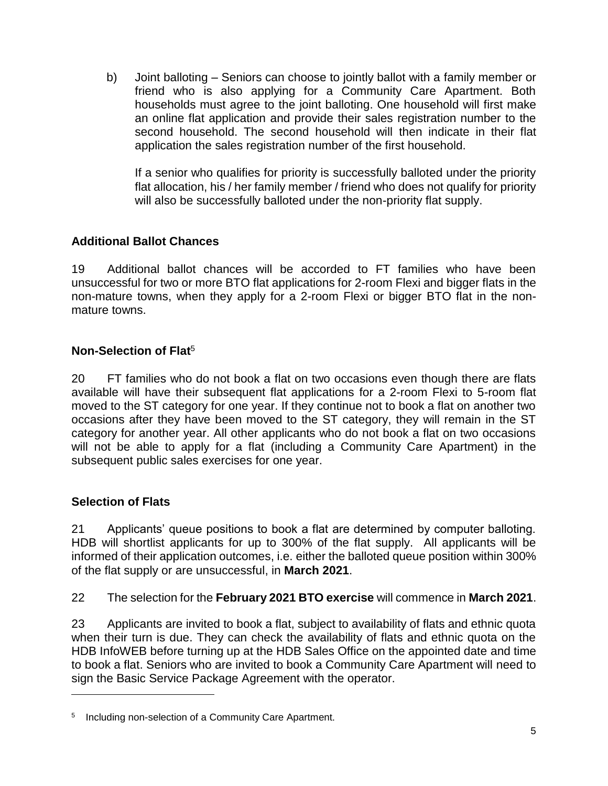b) Joint balloting – Seniors can choose to jointly ballot with a family member or friend who is also applying for a Community Care Apartment. Both households must agree to the joint balloting. One household will first make an online flat application and provide their sales registration number to the second household. The second household will then indicate in their flat application the sales registration number of the first household.

If a senior who qualifies for priority is successfully balloted under the priority flat allocation, his / her family member / friend who does not qualify for priority will also be successfully balloted under the non-priority flat supply.

## **Additional Ballot Chances**

19 Additional ballot chances will be accorded to FT families who have been unsuccessful for two or more BTO flat applications for 2-room Flexi and bigger flats in the non-mature towns, when they apply for a 2-room Flexi or bigger BTO flat in the nonmature towns.

### **Non-Selection of Flat**<sup>5</sup>

20 FT families who do not book a flat on two occasions even though there are flats available will have their subsequent flat applications for a 2-room Flexi to 5-room flat moved to the ST category for one year. If they continue not to book a flat on another two occasions after they have been moved to the ST category, they will remain in the ST category for another year. All other applicants who do not book a flat on two occasions will not be able to apply for a flat (including a Community Care Apartment) in the subsequent public sales exercises for one year.

### **Selection of Flats**

 $\overline{a}$ 

21 Applicants' queue positions to book a flat are determined by computer balloting. HDB will shortlist applicants for up to 300% of the flat supply. All applicants will be informed of their application outcomes, i.e. either the balloted queue position within 300% of the flat supply or are unsuccessful, in **March 2021**.

22 The selection for the **February 2021 BTO exercise** will commence in **March 2021**.

23 Applicants are invited to book a flat, subject to availability of flats and ethnic quota when their turn is due. They can check the availability of flats and ethnic quota on the HDB InfoWEB before turning up at the HDB Sales Office on the appointed date and time to book a flat. Seniors who are invited to book a Community Care Apartment will need to sign the Basic Service Package Agreement with the operator.

<sup>&</sup>lt;sup>5</sup> Including non-selection of a Community Care Apartment.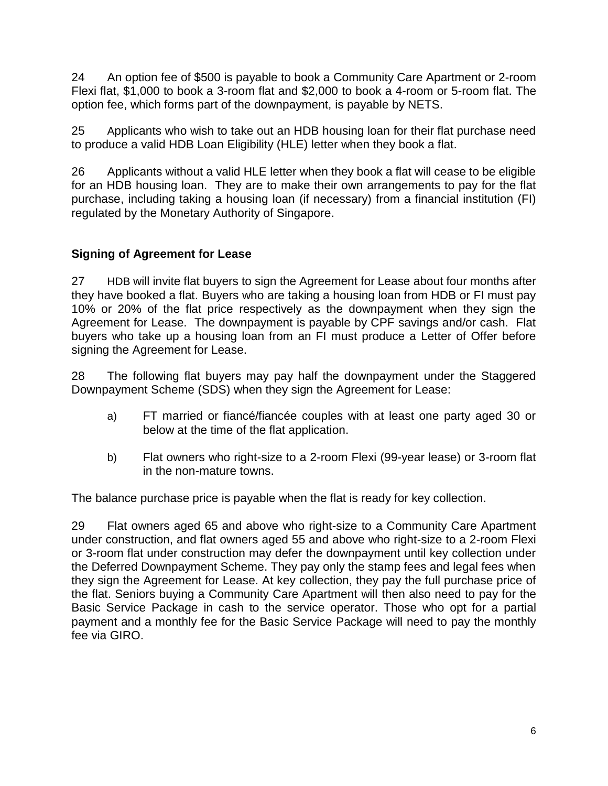24 An option fee of \$500 is payable to book a Community Care Apartment or 2-room Flexi flat, \$1,000 to book a 3-room flat and \$2,000 to book a 4-room or 5-room flat. The option fee, which forms part of the downpayment, is payable by NETS.

25 Applicants who wish to take out an HDB housing loan for their flat purchase need to produce a valid HDB Loan Eligibility [\(HLE\) letter](http://www.hdb.gov.sg/fi10/fi10321p.nsf/w/HLHDBWhen?OpenDocument) when they book a flat.

26 Applicants without a valid HLE letter when they book a flat will cease to be eligible for an HDB housing loan. They are to make their own arrangements to pay for the flat purchase, including taking a housing loan (if necessary) from a financial institution (FI) regulated by the Monetary Authority of Singapore.

## **Signing of Agreement for Lease**

27 HDB will invite flat buyers to sign the Agreement for Lease about four months after they have booked a flat. Buyers who are taking a housing loan from HDB or FI must pay 10% or 20% of the flat price respectively as the downpayment when they sign the Agreement for Lease. The downpayment is payable by CPF savings and/or cash. Flat buyers who take up a housing loan from an FI must produce a Letter of Offer before signing the Agreement for Lease.

28 The following flat buyers may pay half the downpayment under the Staggered Downpayment Scheme (SDS) when they sign the Agreement for Lease:

- a) FT married or fiancé/fiancée couples with at least one party aged 30 or below at the time of the flat application.
- b) Flat owners who right-size to a 2-room Flexi (99-year lease) or 3-room flat in the non-mature towns.

The balance purchase price is payable when the flat is ready for key collection.

29 Flat owners aged 65 and above who right-size to a Community Care Apartment under construction, and flat owners aged 55 and above who right-size to a 2-room Flexi or 3-room flat under construction may defer the downpayment until key collection under the Deferred Downpayment Scheme. They pay only the stamp fees and legal fees when they sign the Agreement for Lease. At key collection, they pay the full purchase price of the flat. Seniors buying a Community Care Apartment will then also need to pay for the Basic Service Package in cash to the service operator. Those who opt for a partial payment and a monthly fee for the Basic Service Package will need to pay the monthly fee via GIRO.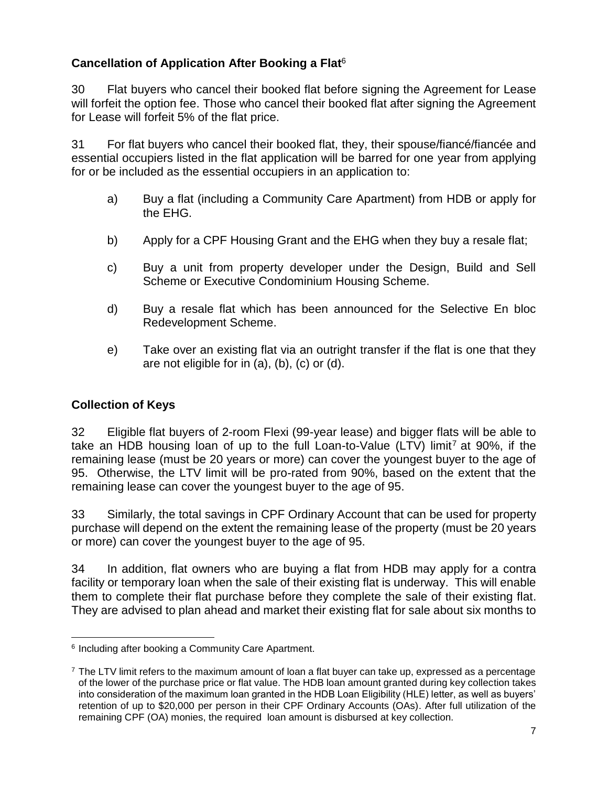# **Cancellation of Application After Booking a Flat**<sup>6</sup>

30 Flat buyers who cancel their booked flat before signing the Agreement for Lease will forfeit the option fee. Those who cancel their booked flat after signing the Agreement for Lease will forfeit 5% of the flat price.

31 For flat buyers who cancel their booked flat, they, their spouse/fiancé/fiancée and essential occupiers listed in the flat application will be barred for one year from applying for or be included as the essential occupiers in an application to:

- a) Buy a flat (including a Community Care Apartment) from HDB or apply for the EHG.
- b) Apply for a CPF Housing Grant and the EHG when they buy a resale flat;
- c) Buy a unit from property developer under the Design, Build and Sell Scheme or Executive Condominium Housing Scheme.
- d) Buy a resale flat which has been announced for the Selective En bloc Redevelopment Scheme.
- e) Take over an existing flat via an outright transfer if the flat is one that they are not eligible for in (a), (b), (c) or (d).

# **Collection of Keys**

32 Eligible flat buyers of 2-room Flexi (99-year lease) and bigger flats will be able to take an HDB housing loan of up to the full Loan-to-Value (LTV) limit<sup>7</sup> at 90%, if the remaining lease (must be 20 years or more) can cover the youngest buyer to the age of 95. Otherwise, the LTV limit will be pro-rated from 90%, based on the extent that the remaining lease can cover the youngest buyer to the age of 95.

33 Similarly, the total savings in CPF Ordinary Account that can be used for property purchase will depend on the extent the remaining lease of the property (must be 20 years or more) can cover the youngest buyer to the age of 95.

34 In addition, flat owners who are buying a flat from HDB may apply for a contra facility or temporary loan when the sale of their existing flat is underway. This will enable them to complete their flat purchase before they complete the sale of their existing flat. They are advised to plan ahead and market their existing flat for sale about six months to

 $\overline{a}$ 6 Including after booking a Community Care Apartment.

<sup>&</sup>lt;sup>7</sup> The LTV limit refers to the maximum amount of loan a flat buyer can take up, expressed as a percentage of the lower of the purchase price or flat value. The HDB loan amount granted during key collection takes into consideration of the maximum loan granted in the HDB Loan Eligibility (HLE) letter, as well as buyers' retention of up to \$20,000 per person in their CPF Ordinary Accounts (OAs). After full utilization of the remaining CPF (OA) monies, the required loan amount is disbursed at key collection.